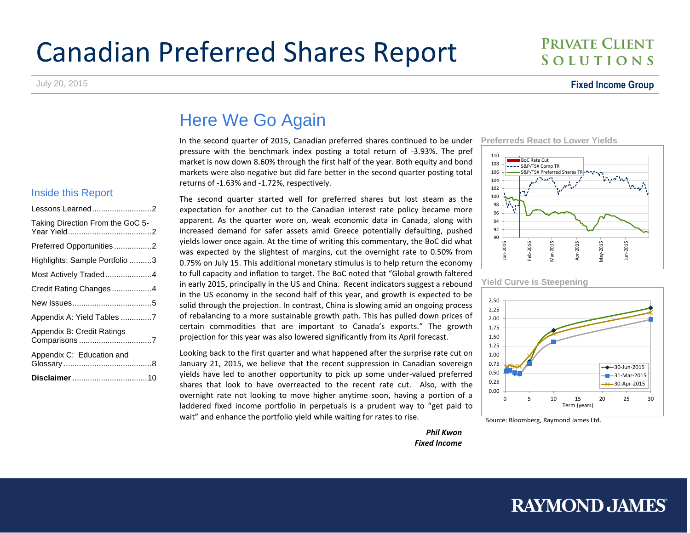# Canadian Preferred Shares Report

#### July 20, 2015 **Fixed Income Group**

**PRIVATE CLIENT** SOLUTIONS

# Here We Go Again

In the second quarter of 2015, Canadian preferred shares continued to be under pressure with the benchmark index posting a total return of -3.93%. The pref market is now down 8.60% through the first half of the year. Both equity and bond markets were also negative but did fare better in the second quarter posting total returns of -1.63% and -1.72%, respectively.

#### Inside this Report

| Lessons Learned2                 |
|----------------------------------|
| Taking Direction From the GoC 5- |
| Preferred Opportunities2         |
| Highlights: Sample Portfolio 3   |
| Most Actively Traded4            |
| Credit Rating Changes4           |
|                                  |
| Appendix A: Yield Tables 7       |
| Appendix B: Credit Ratings       |
| Appendix C: Education and        |
|                                  |

The second quarter started well for preferred shares but lost steam as the expectation for another cut to the Canadian interest rate policy became more apparent. As the quarter wore on, weak economic data in Canada, along with increased demand for safer assets amid Greece potentially defaulting, pushed yields lower once again. At the time of writing this commentary, the BoC did what was expected by the slightest of margins, cut the overnight rate to 0.50% from 0.75% on July 15. This additional monetary stimulus is to help return the economy to full capacity and inflation to target. The BoC noted that "Global growth faltered in early 2015, principally in the US and China. Recent indicators suggest a rebound in the US economy in the second half of this year, and growth is expected to be solid through the projection. In contrast, China is slowing amid an ongoing process of rebalancing to a more sustainable growth path. This has pulled down prices of certain commodities that are important to Canada's exports." The growth projection for this year was also lowered significantly from its April forecast.

Looking back to the first quarter and what happened after the surprise rate cut on January 21, 2015, we believe that the recent suppression in Canadian sovereign yields have led to another opportunity to pick up some under-valued preferred shares that look to have overreacted to the recent rate cut. Also, with the overnight rate not looking to move higher anytime soon, having a portion of a laddered fixed income portfolio in perpetuals is a prudent way to "get paid to wait" and enhance the portfolio yield while waiting for rates to rise.

#### **Preferreds React to Lower Yields**





**Yield Curve is Steepening**



Source: Bloomberg, Raymond James Ltd.

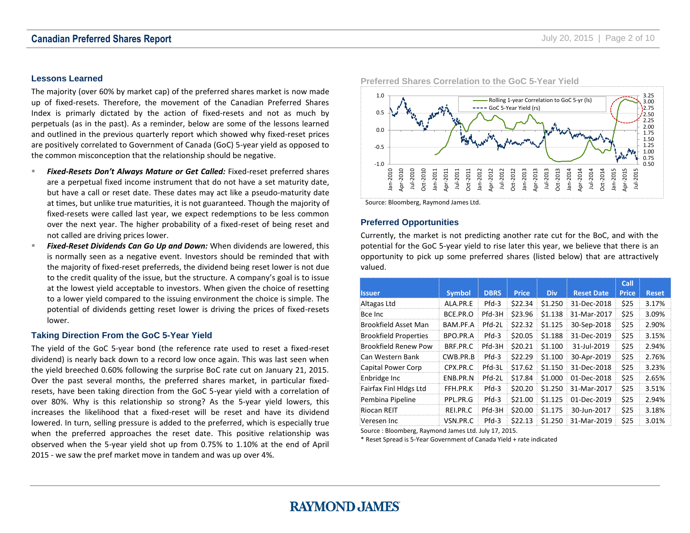#### <span id="page-1-0"></span>**Lessons Learned**

The majority (over 60% by market cap) of the preferred shares market is now made up of fixed-resets. Therefore, the movement of the Canadian Preferred Shares Index is primarly dictated by the action of fixed-resets and not as much by perpetuals (as in the past). As a reminder, below are some of the lessons learned and outlined in the previous quarterly report which showed why fixed-reset prices are positively correlated to Government of Canada (GoC) 5-year yield as opposed to the common misconception that the relationship should be negative.

- *Fixed-Resets Don't Always Mature or Get Called:* Fixed-reset preferred shares are a perpetual fixed income instrument that do not have a set maturity date, but have a call or reset date. These dates may act like a pseudo-maturity date at times, but unlike true maturities, it is not guaranteed. Though the majority of fixed-resets were called last year, we expect redemptions to be less common over the next year. The higher probability of a fixed-reset of being reset and not called are driving prices lower.
- *Fixed-Reset Dividends Can Go Up and Down:* When dividends are lowered, this is normally seen as a negative event. Investors should be reminded that with the majority of fixed-reset preferreds, the dividend being reset lower is not due to the credit quality of the issue, but the structure. A company's goal is to issue at the lowest yield acceptable to investors. When given the choice of resetting to a lower yield compared to the issuing environment the choice is simple. The potential of dividends getting reset lower is driving the prices of fixed-resets lower.

#### <span id="page-1-1"></span>**Taking Direction From the GoC 5-Year Yield**

The yield of the GoC 5-year bond (the reference rate used to reset a fixed-reset dividend) is nearly back down to a record low once again. This was last seen when the yield breeched 0.60% following the surprise BoC rate cut on January 21, 2015. Over the past several months, the preferred shares market, in particular fixedresets, have been taking direction from the GoC 5-year yield with a correlation of over 80%. Why is this relationship so strong? As the 5-year yield lowers, this increases the likelihood that a fixed-reset will be reset and have its dividend lowered. In turn, selling pressure is added to the preferred, which is especially true when the preferred approaches the reset date. This positive relationship was observed when the 5-year yield shot up from 0.75% to 1.10% at the end of April 2015 - we saw the pref market move in tandem and was up over 4%.



**Preferred Shares Correlation to the GoC 5-Year Yield** 

Source: Bloomberg, Raymond James Ltd.

#### <span id="page-1-2"></span>**Preferred Opportunities**

Currently, the market is not predicting another rate cut for the BoC, and with the potential for the GoC 5-year yield to rise later this year, we believe that there is an opportunity to pick up some preferred shares (listed below) that are attractively valued.

|                              |               |             |              |            |                   | Call         |              |
|------------------------------|---------------|-------------|--------------|------------|-------------------|--------------|--------------|
| <b>Issuer</b>                | <b>Symbol</b> | <b>DBRS</b> | <b>Price</b> | <b>Div</b> | <b>Reset Date</b> | <b>Price</b> | <b>Reset</b> |
| Altagas Ltd                  | ALA.PR.E      | $Pfd-3$     | \$22.34      | \$1.250    | 31-Dec-2018       | \$25         | 3.17%        |
| Bce Inc                      | BCE.PR.O      | Pfd-3H      | \$23.96      | \$1.138    | 31-Mar-2017       | \$25         | 3.09%        |
| Brookfield Asset Man         | BAM.PF.A      | Pfd-2L      | \$22.32      | \$1.125    | 30-Sep-2018       | \$25         | 2.90%        |
| <b>Brookfield Properties</b> | BPO.PR.A      | $Pfd-3$     | \$20.05      | \$1.188    | 31-Dec-2019       | \$25         | 3.15%        |
| Brookfield Renew Pow         | BRF.PR.C      | Pfd-3H      | \$20.21      | \$1.100    | 31-Jul-2019       | \$25         | 2.94%        |
| Can Western Bank             | CWB.PR.B      | $Pfd-3$     | \$22.29      | \$1.100    | 30-Apr-2019       | \$25         | 2.76%        |
| Capital Power Corp           | CPX.PR.C      | Pfd-3L      | \$17.62      | \$1.150    | 31-Dec-2018       | \$25         | 3.23%        |
| Enbridge Inc                 | ENB.PR.N      | Pfd-2L      | \$17.84      | \$1.000    | 01-Dec-2018       | \$25         | 2.65%        |
| Fairfax Finl Hldgs Ltd       | FFH.PR.K      | $Pfd-3$     | \$20.20      | \$1.250    | 31-Mar-2017       | \$25         | 3.51%        |
| Pembina Pipeline             | PPL.PR.G      | $Pfd-3$     | \$21.00      | \$1.125    | 01-Dec-2019       | \$25         | 2.94%        |
| Riocan REIT                  | REI.PR.C      | Pfd-3H      | \$20.00      | \$1.175    | 30-Jun-2017       | \$25         | 3.18%        |
| Veresen Inc                  | VSN.PR.C      | $Pfd-3$     | \$22.13      | \$1.250    | 31-Mar-2019       | \$25         | 3.01%        |

Source : Bloomberg, Raymond James Ltd. July 17, 2015.

\* Reset Spread is 5-Year Government of Canada Yield + rate indicated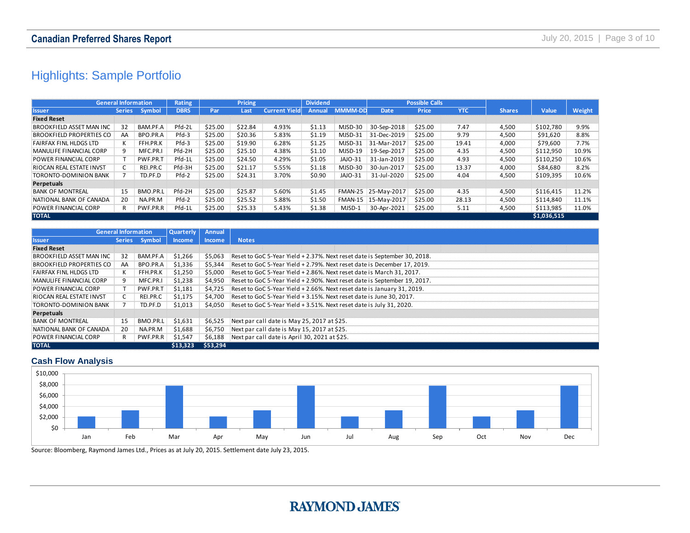### <span id="page-2-0"></span>Highlights: Sample Portfolio

| Highlights: Sample Portfolio    |                            |          |             |         |         |                      |                 |                |             |                       |            |               |             |        |
|---------------------------------|----------------------------|----------|-------------|---------|---------|----------------------|-----------------|----------------|-------------|-----------------------|------------|---------------|-------------|--------|
|                                 |                            |          |             |         |         |                      |                 |                |             |                       |            |               |             |        |
|                                 |                            |          |             |         |         |                      |                 |                |             |                       |            |               |             |        |
|                                 | <b>General Information</b> |          | Rating      |         | Pricing |                      | <b>Dividend</b> |                |             | <b>Possible Calls</b> |            |               |             |        |
| <b>Issuer</b>                   | <b>Series</b>              | Symbol   | <b>DBRS</b> | Par     | Last    | <b>Current Yield</b> | <b>Annual</b>   | <b>MMMM-DD</b> | Date        | Price                 | <b>YTC</b> | <b>Shares</b> | Value       | Weight |
| <b>Fixed Reset</b>              |                            |          |             |         |         |                      |                 |                |             |                       |            |               |             |        |
| BROOKFIELD ASSET MAN INC        | 32                         | BAM.PF.A | Pfd-2L      | \$25.00 | \$22.84 | 4.93%                | \$1.13          | MJSD-30        | 30-Sep-2018 | \$25.00               | 7.47       | 4,500         | \$102,780   | 9.9%   |
| <b>BROOKFIELD PROPERTIES CO</b> | AA                         | BPO.PR.A | Pfd-3       | \$25.00 | \$20.36 | 5.83%                | \$1.19          | MJSD-31        | 31-Dec-2019 | \$25.00               | 9.79       | 4,500         | \$91,620    | 8.8%   |
| FAIRFAX FINL HLDGS LTD          | K                          | FFH.PR.K | Pfd-3       | \$25.00 | \$19.90 | 6.28%                | \$1.25          | MJSD-31        | 31-Mar-2017 | \$25.00               | 19.41      | 4,000         | \$79,600    | 7.7%   |
| MANULIFE FINANCIAL CORP         | 9                          | MFC.PR.I | Pfd-2H      | \$25.00 | \$25.10 | 4.38%                | \$1.10          | MJSD-19        | 19-Sep-2017 | \$25.00               | 4.35       | 4,500         | \$112,950   | 10.9%  |
| POWER FINANCIAL CORP            |                            | PWF.PR.T | Pfd-1L      | \$25.00 | \$24.50 | 4.29%                | \$1.05          | JAJO-31        | 31-Jan-2019 | \$25.00               | 4.93       | 4,500         | \$110,250   | 10.6%  |
| RIOCAN REAL ESTATE INVST        | C                          | REI.PR.C | Pfd-3H      | \$25.00 | \$21.17 | 5.55%                | \$1.18          | MJSD-30        | 30-Jun-2017 | \$25.00               | 13.37      | 4,000         | \$84,680    | 8.2%   |
| TORONTO-DOMINION BANK           | 7                          | TD.PF.D  | Pfd-2       | \$25.00 | \$24.31 | 3.70%                | \$0.90          | <b>JAJO-31</b> | 31-Jul-2020 | \$25.00               | 4.04       | 4,500         | \$109,395   | 10.6%  |
| Perpetuals                      |                            |          |             |         |         |                      |                 |                |             |                       |            |               |             |        |
| <b>BANK OF MONTREAL</b>         | 15                         | BMO.PR.L | Pfd-2H      | \$25.00 | \$25.87 | 5.60%                | \$1.45          | FMAN-25        | 25-May-2017 | \$25.00               | 4.35       | 4,500         | \$116,415   | 11.2%  |
| NATIONAL BANK OF CANADA         | 20                         | NA.PR.M  | Pfd-2       | \$25.00 | \$25.52 | 5.88%                | \$1.50          | FMAN-15        | 15-May-2017 | \$25.00               | 28.13      | 4,500         | \$114,840   | 11.1%  |
| POWER FINANCIAL CORP            | R                          | PWF.PR.R | Pfd-1L      | \$25.00 | \$25.33 | 5.43%                | \$1.38          | MJSD-1         | 30-Apr-2021 | \$25.00               | 5.11       | 4,500         | \$113,985   | 11.0%  |
| <b>TOTAL</b>                    |                            |          |             |         |         |                      |                 |                |             |                       |            |               | \$1,036,515 |        |

| השהיה שונה הרוחים בחירו שהיה א  |                            | 1973.113.191  | .             | <b>JLJ.UU</b> | <b>JLJ.JL</b> | <b>J.UU/U</b>                                 | ິື້    |        | $\frac{1}{2}$ iversity $\pm 5$ iversity $\pm 0$ .                         | <b>JLJ.UU</b> | د…   | טטכ, ד | フェエー, いーい   | + + + + / 0 |
|---------------------------------|----------------------------|---------------|---------------|---------------|---------------|-----------------------------------------------|--------|--------|---------------------------------------------------------------------------|---------------|------|--------|-------------|-------------|
| POWER FINANCIAL CORP            | R                          | PWF.PR.R      | Pfd-1L        | \$25.00       | \$25.33       | 5.43%                                         | \$1.38 | MJSD-1 | 30-Apr-2021                                                               | \$25.00       | 5.11 | 4,500  | \$113,985   | 11.0%       |
| <b>TOTAL</b>                    |                            |               |               |               |               |                                               |        |        |                                                                           |               |      |        | \$1,036,515 |             |
|                                 |                            |               |               |               |               |                                               |        |        |                                                                           |               |      |        |             |             |
|                                 | <b>General Information</b> |               | Quarterly     | Annual        |               |                                               |        |        |                                                                           |               |      |        |             |             |
| <b>Issuer</b>                   |                            | Series Symbol | <b>Income</b> | Income        | <b>Notes</b>  |                                               |        |        |                                                                           |               |      |        |             |             |
| <b>Fixed Reset</b>              |                            |               |               |               |               |                                               |        |        |                                                                           |               |      |        |             |             |
| BROOKFIELD ASSET MAN INC        | 32                         | BAM.PF.A      | \$1,266       | \$5,063       |               |                                               |        |        | Reset to GoC 5-Year Yield + 2.37%. Next reset date is September 30, 2018. |               |      |        |             |             |
| <b>BROOKFIELD PROPERTIES CO</b> | AA                         | BPO.PR.A      | \$1,336       | \$5,344       |               |                                               |        |        | Reset to GoC 5-Year Yield + 2.79%. Next reset date is December 17, 2019.  |               |      |        |             |             |
| FAIRFAX FINL HLDGS LTD          | К                          | FFH.PR.K      | \$1,250       | \$5,000       |               |                                               |        |        | Reset to GoC 5-Year Yield + 2.86%. Next reset date is March 31, 2017.     |               |      |        |             |             |
| MANULIFE FINANCIAL CORP         | 9                          | MFC.PR.I      | \$1,238       | \$4,950       |               |                                               |        |        | Reset to GoC 5-Year Yield + 2.90%. Next reset date is September 19, 2017. |               |      |        |             |             |
| POWER FINANCIAL CORP            |                            | PWF.PR.T      | \$1,181       | \$4,725       |               |                                               |        |        | Reset to GoC 5-Year Yield + 2.66%. Next reset date is January 31, 2019.   |               |      |        |             |             |
| RIOCAN REAL ESTATE INVST        | C                          | REI.PR.C      | \$1,175       | \$4,700       |               |                                               |        |        | Reset to GoC 5-Year Yield + 3.15%. Next reset date is June 30, 2017.      |               |      |        |             |             |
| TORONTO-DOMINION BANK           | 7                          | TD.PF.D       | \$1,013       | \$4,050       |               |                                               |        |        | Reset to GoC 5-Year Yield + 3.51%. Next reset date is July 31, 2020.      |               |      |        |             |             |
| Perpetuals                      |                            |               |               |               |               |                                               |        |        |                                                                           |               |      |        |             |             |
| <b>BANK OF MONTREAL</b>         | 15                         | BMO.PR.L      | \$1,631       | \$6,525       |               | Next par call date is May 25, 2017 at \$25.   |        |        |                                                                           |               |      |        |             |             |
| NATIONAL BANK OF CANADA         | 20                         | NA.PR.M       | \$1,688       | \$6,750       |               | Next par call date is May 15, 2017 at \$25.   |        |        |                                                                           |               |      |        |             |             |
| POWER FINANCIAL CORP            | R                          | PWF.PR.R      | \$1,547       | \$6,188       |               | Next par call date is April 30, 2021 at \$25. |        |        |                                                                           |               |      |        |             |             |
| <b>TOTAL</b>                    |                            |               | \$13,323      | \$53,294      |               |                                               |        |        |                                                                           |               |      |        |             |             |

#### **Cash Flow Analysis**



Source: Bloomberg, Raymond James Ltd., Prices as at July 20, 2015. Settlement date July 23, 2015.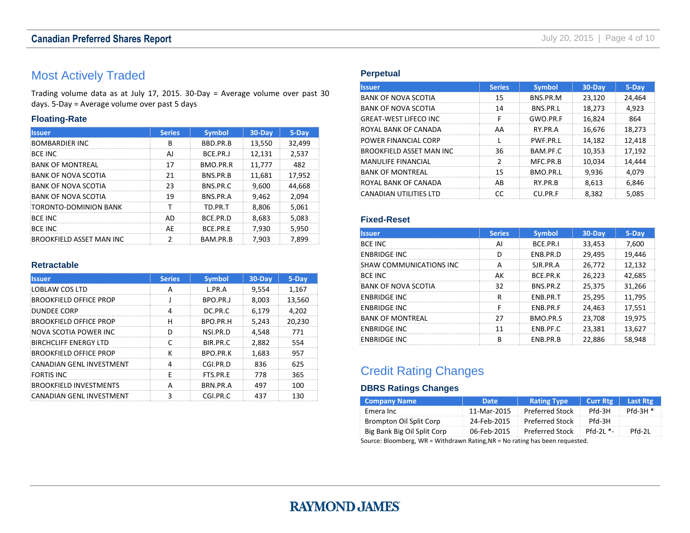### **Canadian Preferred Shares Report Canadian Preferred Shares Report July 20, 2015** | Page 4 of 10

### <span id="page-3-0"></span>Most Actively Traded

Trading volume data as at July 17, 2015. 30-Day = Average volume over past 30 days. 5-Day = Average volume over past 5 days

#### **Floating-Rate**

| llssuer                         | <b>Series</b> | <b>Symbol</b>    | $30$ -Day | $5 - Day$ |
|---------------------------------|---------------|------------------|-----------|-----------|
| <b>BOMBARDIER INC</b>           | R             | BBD.PR.B         | 13,550    | 32,499    |
| <b>BCF INC</b>                  | ΔI            | BCE.PR.J         | 12.131    | 2.537     |
| BANK OF MONTREAL                |               | BMO.PR.R         | 11,777    | 482       |
| BANK OF NOVA SCOTIA             | 21            | <b>BNS.PR.B</b>  | 11.681    | 17.952    |
| BANK OF NOVA SCOTIA             | つっ            | <b>BNS.PR.C.</b> | 9.600     | 44.668    |
| <b>BANK OF NOVA SCOTIA</b>      | 19            | BNS.PR.A         | 9.462     | 2.094     |
| TORONTO-DOMINION BANK           |               | TD.PR.T          | 8.806     | 5.061     |
| <b>BCF INC</b>                  | ΔŊ            | <b>BCF.PR.D</b>  | 8.683     | 5.083     |
| <b>BCF INC</b>                  | ΑF            | <b>BCF.PR.F</b>  | 7.930     | 5.950     |
| <b>BROOKFIELD ASSET MAN INC</b> |               | BAM.PR.B         | 7.903     | 7.899     |

#### **Retractable**

| <b>Issuer</b>                 | <b>Series</b> | <b>Symbol</b>   | $30 - Day$ | 5-Day  |
|-------------------------------|---------------|-----------------|------------|--------|
| LOBLAW COS LTD                | А             | L.PR.A          | 9,554      | 1,167  |
| <b>BROOKFIELD OFFICE PROP</b> |               | BPO.PR.J        | 8,003      | 13,560 |
| <b>DUNDEE CORP</b>            | 4             | DC.PR.C         | 6,179      | 4,202  |
| <b>BROOKFIELD OFFICE PROP</b> | н             | BPO.PR.H        | 5.243      | 20.230 |
| NOVA SCOTIA POWER INC         | D             | NSI.PR.D        | 4,548      | 771    |
| BIRCHCLIFF ENERGY LTD         |               | BIR.PR.C.       | 2.882      | 554    |
| <b>BROOKFIELD OFFICE PROP</b> | ĸ             | <b>BPO.PR.K</b> | 1.683      | 957    |
| CANADIAN GENL INVESTMENT      |               | CGLPR.D         | 836        | 625    |
| <b>FORTIS INC.</b>            | F             | FTS.PR.F        | 778        | 365    |
| <b>BROOKFIELD INVESTMENTS</b> |               | <b>BRN.PR.A</b> | 497        | 100    |
| CANADIAN GENL INVESTMENT      |               | CGI.PR.C        | 437        | 130    |

#### **Perpetual**

| <b>Issuer</b>              | <b>Series</b> | <b>Symbol</b> | $30 - Day$ | 5-Day  |
|----------------------------|---------------|---------------|------------|--------|
| <b>BANK OF NOVA SCOTIA</b> | 15            | BNS.PR.M      | 23,120     | 24,464 |
| BANK OF NOVA SCOTIA        | 14            | BNS.PR.I      | 18,273     | 4.923  |
| GREAT-WEST LIFECO INC      | F             | GWO.PR.F      | 16.824     | 864    |
| ROYAL BANK OF CANADA       | AA            | RY PR A       | 16,676     | 18.273 |
| POWER FINANCIAL CORP       |               | PWF.PR.I      | 14.182     | 12,418 |
| BROOKFIELD ASSET MAN INC   | 36            | BAM.PF.C.     | 10,353     | 17.192 |
| MANULIFF FINANCIAL         | ว             | MFC.PR.B      | 10.034     | 14.444 |
| <b>BANK OF MONTREAL</b>    | 15            | BMO.PR.I      | 9.936      | 4.079  |
| ROYAL BANK OF CANADA       | AB            | RY.PR.B       | 8.613      | 6,846  |
| CANADIAN UTILITIES LTD     | rr            | CU.PR.F       | 8.382      | 5.085  |

#### **Fixed-Reset**

| llssuer                    | <b>Series</b> | <b>Symbol</b>   | $30 - Day$ | 5-Day  |
|----------------------------|---------------|-----------------|------------|--------|
| <b>BCE INC</b>             | ΑI            | BCE.PR.I        | 33,453     | 7.600  |
| <b>ENBRIDGE INC</b>        | n             | FNB.PR.D        | 29,495     | 19,446 |
| SHAW COMMUNICATIONS INC    |               | SIR PR A        | 26,772     | 12.132 |
| <b>BCF INC</b>             | ΔК            | <b>BCF.PR.K</b> | 26.223     | 42,685 |
| <b>BANK OF NOVA SCOTIA</b> | 32            | BNS.PR.Z        | 25.375     | 31.266 |
| <b>ENBRIDGE INC</b>        |               | FNB.PR.T        | 25,295     | 11.795 |
| <b>ENBRIDGE INC</b>        |               | <b>FNB.PR.F</b> | 24.463     | 17.551 |
| <b>BANK OF MONTREAL</b>    |               | BMO.PR.S        | 23,708     | 19.975 |
| <b>ENBRIDGE INC</b>        |               | ENB.PF.C        | 23,381     | 13,627 |
| <b>ENBRIDGE INC</b>        | R             | ENB.PR.B        | 22.886     | 58.948 |

### <span id="page-3-1"></span>Credit Rating Changes

#### **DBRS Ratings Changes**

| <b>Company Name</b>         | <b>Date</b> | <b>Rating Type</b>     | <b>Curr Rtg</b> | Last Rtg  |
|-----------------------------|-------------|------------------------|-----------------|-----------|
| Emera Inc                   | 11-Mar-2015 | <b>Preferred Stock</b> | <b>PH-3H</b>    | $Pfd-3H*$ |
| Brompton Oil Split Corp     | 24-Feb-2015 | Preferred Stock        | Pfd-3H          |           |
| Big Bank Big Oil Split Corp | 06-Feb-2015 | Preferred Stock        | -* IC-hft       | Pfd-21    |
|                             |             |                        |                 |           |

Source: Bloomberg, WR = Withdrawn Rating,NR = No rating has been requested.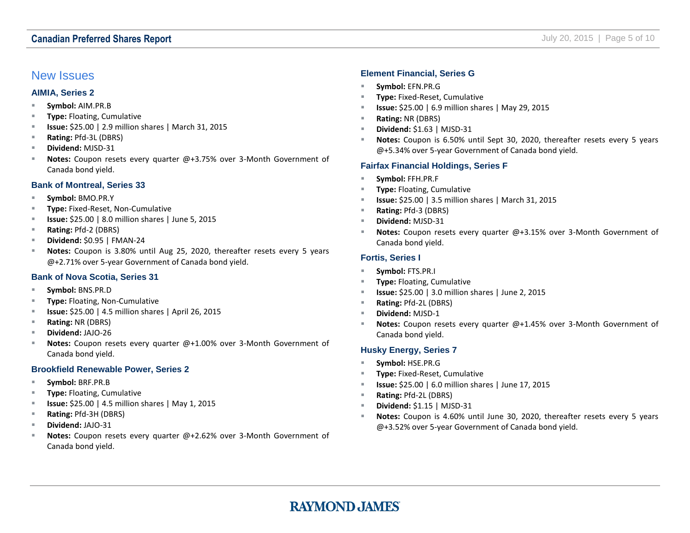#### **Canadian Preferred Shares Report Canadian Preferred Shares Report July 20, 2015** | Page 5 of 10

#### <span id="page-4-0"></span>New Issues

#### **AIMIA, Series 2**

- **Symbol:** AIM.PR.B
- **Type:** Floating, Cumulative
- **Issue:** \$25.00 | 2.9 million shares | March 31, 2015
- **Rating:** Pfd-3L (DBRS)
- **Dividend:** MJSD-31
- **Notes:** Coupon resets every quarter @+3.75% over 3-Month Government of Canada bond yield.

#### **Bank of Montreal, Series 33**

- **Symbol:** BMO.PR.Y
- **Type:** Fixed-Reset, Non-Cumulative
- **Issue:** \$25.00 | 8.0 million shares | June 5, 2015
- **Rating:** Pfd-2 (DBRS)
- **Dividend:** \$0.95 | FMAN-24
- **Notes:** Coupon is 3.80% until Aug 25, 2020, thereafter resets every 5 years @+2.71% over 5‐year Government of Canada bond yield.

#### **Bank of Nova Scotia, Series 31**

- **Symbol:** BNS.PR.D
- **Type:** Floating, Non-Cumulative
- **ISSUE:** \$25.00 | 4.5 million shares | April 26, 2015
- **Rating:** NR (DBRS)
- **Dividend:** JAJO-26
- **Notes:** Coupon resets every quarter @+1.00% over 3-Month Government of Canada bond yield.

#### **Brookfield Renewable Power, Series 2**

- **Symbol:** BRF.PR.B
- **Type:** Floating, Cumulative
- **ISSUE:** \$25.00 | 4.5 million shares | May 1, 2015
- **Rating:** Pfd-3H (DBRS)
- **Dividend:** JAJO-31
- **Notes:** Coupon resets every quarter @+2.62% over 3-Month Government of Canada bond yield.

#### **Element Financial, Series G**

- **Symbol:** EFN.PR.G
- **Type:** Fixed-Reset, Cumulative
- **Issue:** \$25.00 | 6.9 million shares | May 29, 2015
- **Rating:** NR (DBRS)
- **Dividend:** \$1.63 | MJSD-31
- **Notes:** Coupon is 6.50% until Sept 30, 2020, thereafter resets every 5 years @+5.34% over 5‐year Government of Canada bond yield.

#### **Fairfax Financial Holdings, Series F**

- **Symbol:** FFH.PR.F
- **Type:** Floating, Cumulative
- **Issue:** \$25.00 | 3.5 million shares | March 31, 2015
- **Rating:** Pfd-3 (DBRS)
- **Dividend:** MJSD-31
- **Notes:** Coupon resets every quarter @+3.15% over 3-Month Government of Canada bond yield.

#### **Fortis, Series I**

- **Symbol:** FTS.PR.I
- **Type:** Floating, Cumulative
- **Issue:** \$25.00 | 3.0 million shares | June 2, 2015
- **Rating:** Pfd-2L (DBRS)
- **Dividend:** MJSD-1
- **Notes:** Coupon resets every quarter @+1.45% over 3-Month Government of Canada bond yield.

#### **Husky Energy, Series 7**

- **Symbol:** HSE.PR.G
- **Type:** Fixed-Reset, Cumulative
- **Issue:** \$25.00 | 6.0 million shares | June 17, 2015
- **Rating:** Pfd-2L (DBRS)
- **Dividend:** \$1.15 | MJSD-31
- **Notes:** Coupon is 4.60% until June 30, 2020, thereafter resets every 5 years @+3.52% over 5‐year Government of Canada bond yield.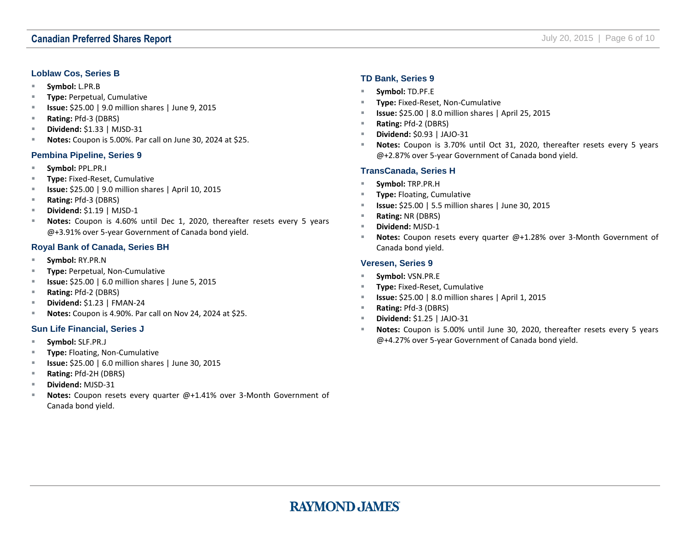#### **Loblaw Cos, Series B**

- **Symbol:** L.PR.B
- **Type:** Perpetual, Cumulative
- **ISSUE:** \$25.00 | 9.0 million shares | June 9, 2015
- **Rating:** Pfd-3 (DBRS)
- **Dividend:** \$1.33 | MJSD-31
- **Notes:** Coupon is 5.00%. Par call on June 30, 2024 at \$25.

#### **Pembina Pipeline, Series 9**

- **Symbol:** PPL.PR.I
- **Type:** Fixed-Reset, Cumulative
- **Issue:** \$25.00 | 9.0 million shares | April 10, 2015
- **Rating:** Pfd-3 (DBRS)
- **Dividend:** \$1.19 | MJSD-1
- **Notes:** Coupon is 4.60% until Dec 1, 2020, thereafter resets every 5 years @+3.91% over 5‐year Government of Canada bond yield.

#### **Royal Bank of Canada, Series BH**

- **Symbol:** RY.PR.N
- **Type:** Perpetual, Non-Cumulative
- **Issue:** \$25.00 | 6.0 million shares | June 5, 2015
- **Rating:** Pfd-2 (DBRS)
- **Dividend:** \$1.23 | FMAN-24
- **Notes:** Coupon is 4.90%. Par call on Nov 24, 2024 at \$25.

#### **Sun Life Financial, Series J**

- **Symbol:** SLF.PR.J
- **Type:** Floating, Non-Cumulative
- **Issue:** \$25.00 | 6.0 million shares | June 30, 2015
- **Rating:** Pfd-2H (DBRS)
- **Dividend:** MJSD-31
- **Notes:** Coupon resets every quarter @+1.41% over 3-Month Government of Canada bond yield.

#### **TD Bank, Series 9**

- **Symbol:** TD.PF.E
- **Type:** Fixed-Reset, Non-Cumulative
- **Issue:** \$25.00 | 8.0 million shares | April 25, 2015
- **Rating:** Pfd-2 (DBRS)
- **Dividend:** \$0.93 | JAJO-31
- **Notes:** Coupon is 3.70% until Oct 31, 2020, thereafter resets every 5 years @+2.87% over 5‐year Government of Canada bond yield.

#### **TransCanada, Series H**

- **Symbol:** TRP.PR.H
- **Type:** Floating, Cumulative
- **Issue:** \$25.00 | 5.5 million shares | June 30, 2015
- **Rating:** NR (DBRS)
- **Dividend:** MJSD-1
- **Notes:** Coupon resets every quarter @+1.28% over 3-Month Government of Canada bond yield.

#### **Veresen, Series 9**

- **Symbol: VSN.PR.E**
- **Type:** Fixed-Reset, Cumulative
- **Issue:** \$25.00 | 8.0 million shares | April 1, 2015
- **Rating:** Pfd-3 (DBRS)
- **Dividend:** \$1.25 | JAJO-31
- **Notes:** Coupon is 5.00% until June 30, 2020, thereafter resets every 5 years @+4.27% over 5‐year Government of Canada bond yield.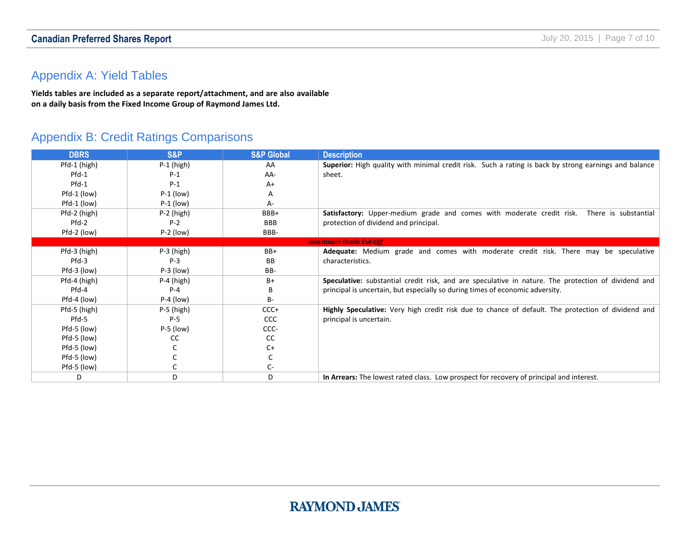### **Canadian Preferred Shares Report Canadian Preferred Shares Report July 20, 2015** | Page 7 of 10

### <span id="page-6-0"></span>Appendix A: Yield Tables

**Yields tables are included as a separate report/attachment, and are also available on a daily basis from the Fixed Income Group of Raymond James Ltd.**

### <span id="page-6-1"></span>Appendix B: Credit Ratings Comparisons

| <b>DBRS</b>  | <b>S&amp;P</b> | <b>S&amp;P Global</b> | <b>Description</b>                                                                                    |
|--------------|----------------|-----------------------|-------------------------------------------------------------------------------------------------------|
| Pfd-1 (high) | $P-1$ (high)   | AA                    | Superior: High quality with minimal credit risk. Such a rating is back by strong earnings and balance |
| $Pfd-1$      | $P-1$          | AA-                   | sheet.                                                                                                |
| Pfd-1        | $P-1$          | $A+$                  |                                                                                                       |
| Pfd-1 (low)  | $P-1$ (low)    | A                     |                                                                                                       |
| Pfd-1 (low)  | $P-1$ (low)    | А-                    |                                                                                                       |
| Pfd-2 (high) | $P-2$ (high)   | BBB+                  | Satisfactory: Upper-medium grade and comes with moderate credit risk.<br>There is substantial         |
| $Pfd-2$      | $P-2$          | <b>BBB</b>            | protection of dividend and principal.                                                                 |
| Pfd-2 (low)  | $P-2$ (low)    | BBB-                  |                                                                                                       |
|              |                |                       | <b>Investment Grade Cut-Off</b>                                                                       |
| Pfd-3 (high) | $P-3$ (high)   | BB+                   | Adequate: Medium grade and comes with moderate credit risk. There may be speculative                  |
| Pfd-3        | $P-3$          | BB.                   | characteristics.                                                                                      |
| Pfd-3 (low)  | $P-3$ (low)    | BB-                   |                                                                                                       |
| Pfd-4 (high) | $P-4$ (high)   | B+                    | Speculative: substantial credit risk, and are speculative in nature. The protection of dividend and   |
| Pfd-4        | $P - 4$        | В                     | principal is uncertain, but especially so during times of economic adversity.                         |
| Pfd-4 (low)  | $P-4$ (low)    | <b>B-</b>             |                                                                                                       |
| Pfd-5 (high) | $P-5$ (high)   | $CCC+$                | Highly Speculative: Very high credit risk due to chance of default. The protection of dividend and    |
| Pfd-5        | $P-5$          | <b>CCC</b>            | principal is uncertain.                                                                               |
| Pfd-5 (low)  | $P-5$ (low)    | CCC-                  |                                                                                                       |
| Pfd-5 (low)  | cc             | <sub>CC</sub>         |                                                                                                       |
| Pfd-5 (low)  |                | $C+$                  |                                                                                                       |
| Pfd-5 (low)  |                |                       |                                                                                                       |
| Pfd-5 (low)  |                | C-                    |                                                                                                       |
| D            | D              | D                     | In Arrears: The lowest rated class. Low prospect for recovery of principal and interest.              |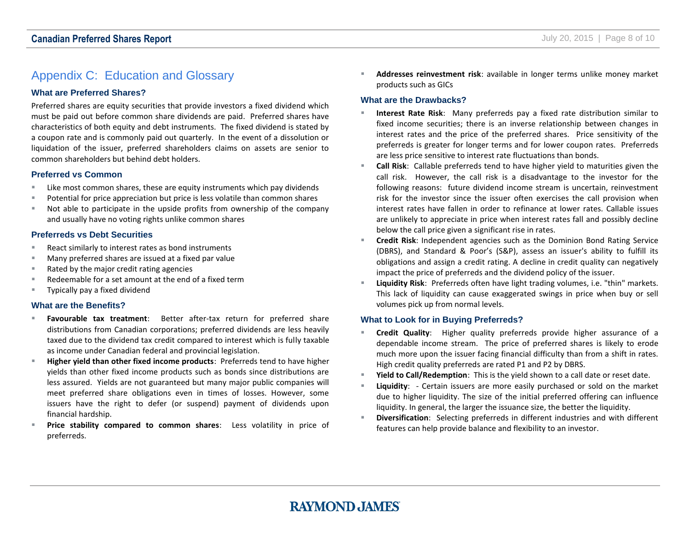### <span id="page-7-0"></span>Appendix C: Education and Glossary

#### **What are Preferred Shares?**

Preferred shares are equity securities that provide investors a fixed dividend which must be paid out before common share dividends are paid. Preferred shares have characteristics of both equity and debt instruments. The fixed dividend is stated by a coupon rate and is commonly paid out quarterly. In the event of a dissolution or liquidation of the issuer, preferred shareholders claims on assets are senior to common shareholders but behind debt holders.

#### **Preferred vs Common**

- **EXECT** Like most common shares, these are equity instruments which pay dividends
- **Potential for price appreciation but price is less volatile than common shares**
- Not able to participate in the upside profits from ownership of the company and usually have no voting rights unlike common shares

#### **Preferreds vs Debt Securities**

- React similarly to interest rates as bond instruments
- Many preferred shares are issued at a fixed par value
- Rated by the major credit rating agencies
- Redeemable for a set amount at the end of a fixed term
- **Typically pay a fixed dividend**

#### **What are the Benefits?**

- **Favourable tax treatment**: Better after-tax return for preferred share distributions from Canadian corporations; preferred dividends are less heavily taxed due to the dividend tax credit compared to interest which is fully taxable as income under Canadian federal and provincial legislation.
- **Higher yield than other fixed income products**: Preferreds tend to have higher yields than other fixed income products such as bonds since distributions are less assured. Yields are not guaranteed but many major public companies will meet preferred share obligations even in times of losses. However, some issuers have the right to defer (or suspend) payment of dividends upon financial hardship.
- **Price stability compared to common shares**: Less volatility in price of preferreds.

 **Addresses reinvestment risk**: available in longer terms unlike money market products such as GICs

#### **What are the Drawbacks?**

- **Interest Rate Risk**: Many preferreds pay a fixed rate distribution similar to fixed income securities; there is an inverse relationship between changes in interest rates and the price of the preferred shares. Price sensitivity of the preferreds is greater for longer terms and for lower coupon rates. Preferreds are less price sensitive to interest rate fluctuations than bonds.
- **Call Risk**: Callable preferreds tend to have higher yield to maturities given the call risk. However, the call risk is a disadvantage to the investor for the following reasons: future dividend income stream is uncertain, reinvestment risk for the investor since the issuer often exercises the call provision when interest rates have fallen in order to refinance at lower rates. Callable issues are unlikely to appreciate in price when interest rates fall and possibly decline below the call price given a significant rise in rates.
- **Credit Risk**: Independent agencies such as the Dominion Bond Rating Service (DBRS), and Standard & Poor's (S&P), assess an issuer's ability to fulfill its obligations and assign a credit rating. A decline in credit quality can negatively impact the price of preferreds and the dividend policy of the issuer.
- **Liquidity Risk**: Preferreds often have light trading volumes, i.e. "thin" markets. This lack of liquidity can cause exaggerated swings in price when buy or sell volumes pick up from normal levels.

#### **What to Look for in Buying Preferreds?**

- **Credit Quality**: Higher quality preferreds provide higher assurance of a dependable income stream. The price of preferred shares is likely to erode much more upon the issuer facing financial difficulty than from a shift in rates. High credit quality preferreds are rated P1 and P2 by DBRS.
- **Yield to Call/Redemption**: This is the yield shown to a call date or reset date.
- **Liquidity**: Certain issuers are more easily purchased or sold on the market due to higher liquidity. The size of the initial preferred offering can influence liquidity. In general, the larger the issuance size, the better the liquidity.
- **Diversification**: Selecting preferreds in different industries and with different features can help provide balance and flexibility to an investor.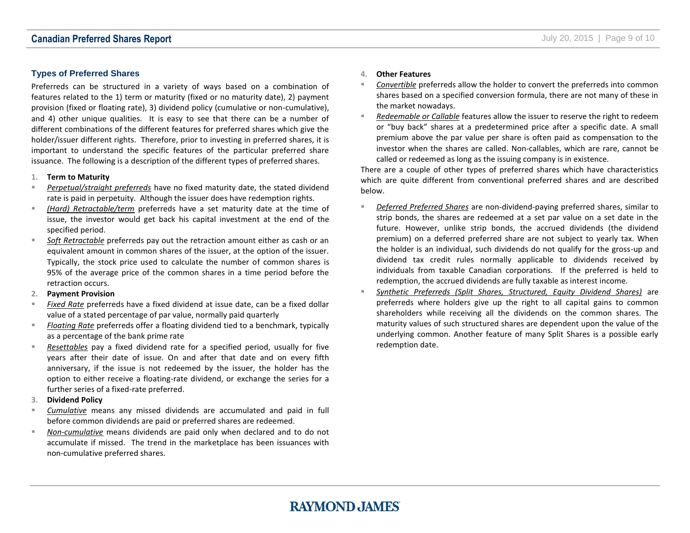#### **Types of Preferred Shares**

Preferreds can be structured in a variety of ways based on a combination of features related to the 1) term or maturity (fixed or no maturity date), 2) payment provision (fixed or floating rate), 3) dividend policy (cumulative or non-cumulative), and 4) other unique qualities. It is easy to see that there can be a number of different combinations of the different features for preferred shares which give the holder/issuer different rights. Therefore, prior to investing in preferred shares, it is important to understand the specific features of the particular preferred share issuance. The following is a description of the different types of preferred shares.

#### **1. Term to Maturity**

- *Perpetual/straight preferreds* have no fixed maturity date, the stated dividend rate is paid in perpetuity. Although the issuer does have redemption rights.
- *(Hard) Retractable/term* preferreds have a set maturity date at the time of issue, the investor would get back his capital investment at the end of the specified period.
- *Soft Retractable* preferreds pay out the retraction amount either as cash or an equivalent amount in common shares of the issuer, at the option of the issuer. Typically, the stock price used to calculate the number of common shares is 95% of the average price of the common shares in a time period before the retraction occurs.
- **2. Payment Provision**
- *Fixed Rate* preferreds have a fixed dividend at issue date, can be a fixed dollar value of a stated percentage of par value, normally paid quarterly
- *Floating Rate* preferreds offer a floating dividend tied to a benchmark, typically as a percentage of the bank prime rate
- *Resettables* pay a fixed dividend rate for a specified period, usually for five years after their date of issue. On and after that date and on every fifth anniversary, if the issue is not redeemed by the issuer, the holder has the option to either receive a floating-rate dividend, or exchange the series for a further series of a fixed-rate preferred.
- **3. Dividend Policy**
- *Cumulative* means any missed dividends are accumulated and paid in full before common dividends are paid or preferred shares are redeemed.
- *Non-cumulative* means dividends are paid only when declared and to do not accumulate if missed. The trend in the marketplace has been issuances with non-cumulative preferred shares.

#### **4. Other Features**

- *Convertible* preferreds allow the holder to convert the preferreds into common shares based on a specified conversion formula, there are not many of these in the market nowadays.
- *Redeemable or Callable* features allow the issuer to reserve the right to redeem or "buy back" shares at a predetermined price after a specific date. A small premium above the par value per share is often paid as compensation to the investor when the shares are called. Non-callables, which are rare, cannot be called or redeemed as long as the issuing company is in existence.

There are a couple of other types of preferred shares which have characteristics which are quite different from conventional preferred shares and are described below.

- *Deferred Preferred Shares* are non-dividend-paying preferred shares, similar to strip bonds, the shares are redeemed at a set par value on a set date in the future. However, unlike strip bonds, the accrued dividends (the dividend premium) on a deferred preferred share are not subject to yearly tax. When the holder is an individual, such dividends do not qualify for the gross-up and dividend tax credit rules normally applicable to dividends received by individuals from taxable Canadian corporations. If the preferred is held to redemption, the accrued dividends are fully taxable as interest income.
- *Synthetic Preferreds (Split Shares, Structured, Equity Dividend Shares)* are preferreds where holders give up the right to all capital gains to common shareholders while receiving all the dividends on the common shares. The maturity values of such structured shares are dependent upon the value of the underlying common. Another feature of many Split Shares is a possible early redemption date.